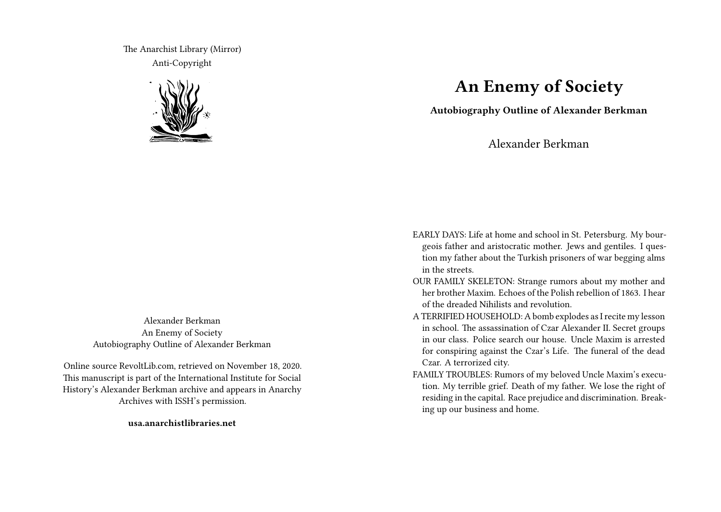The Anarchist Library (Mirror) Anti-Copyright



Alexander Berkman An Enemy of Society Autobiography Outline of Alexander Berkman

Online source RevoltLib.com, retrieved on November 18, 2020. This manuscript is part of the International Institute for Social History's Alexander Berkman archive and appears in Anarchy Archives with ISSH's permission.

**usa.anarchistlibraries.net**

## **An Enemy of Society**

**Autobiography Outline of Alexander Berkman**

Alexander Berkman

EARLY DAYS: Life at home and school in St. Petersburg. My bourgeois father and aristocratic mother. Jews and gentiles. I question my father about the Turkish prisoners of war begging alms in the streets.

OUR FAMILY SKELETON: Strange rumors about my mother and her brother Maxim. Echoes of the Polish rebellion of 1863. I hear of the dreaded Nihilists and revolution.

A TERRIFIED HOUSEHOLD: A bomb explodes as I recite my lesson in school. The assassination of Czar Alexander II. Secret groups in our class. Police search our house. Uncle Maxim is arrested for conspiring against the Czar's Life. The funeral of the dead Czar. A terrorized city.

FAMILY TROUBLES: Rumors of my beloved Uncle Maxim's execution. My terrible grief. Death of my father. We lose the right of residing in the capital. Race prejudice and discrimination. Breaking up our business and home.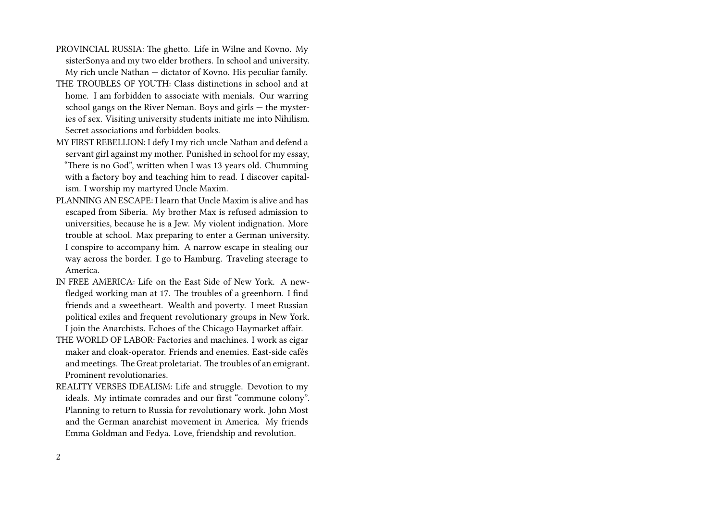- PROVINCIAL RUSSIA: The ghetto. Life in Wilne and Kovno. My sisterSonya and my two elder brothers. In school and university. My rich uncle Nathan — dictator of Kovno. His peculiar family.
- THE TROUBLES OF YOUTH: Class distinctions in school and at home. I am forbidden to associate with menials. Our warring school gangs on the River Neman. Boys and girls — the mysteries of sex. Visiting university students initiate me into Nihilism. Secret associations and forbidden books.
- MY FIRST REBELLION: I defy I my rich uncle Nathan and defend a servant girl against my mother. Punished in school for my essay, "There is no God", written when I was 13 years old. Chumming with a factory boy and teaching him to read. I discover capitalism. I worship my martyred Uncle Maxim.
- PLANNING AN ESCAPE: I learn that Uncle Maxim is alive and has escaped from Siberia. My brother Max is refused admission to universities, because he is a Jew. My violent indignation. More trouble at school. Max preparing to enter a German university. I conspire to accompany him. A narrow escape in stealing our way across the border. I go to Hamburg. Traveling steerage to America.
- IN FREE AMERICA: Life on the East Side of New York. A newfledged working man at 17. The troubles of a greenhorn. I find friends and a sweetheart. Wealth and poverty. I meet Russian political exiles and frequent revolutionary groups in New York. I join the Anarchists. Echoes of the Chicago Haymarket affair.
- THE WORLD OF LABOR: Factories and machines. I work as cigar maker and cloak-operator. Friends and enemies. East-side cafés and meetings. The Great proletariat. The troubles of an emigrant. Prominent revolutionaries.
- REALITY VERSES IDEALISM: Life and struggle. Devotion to my ideals. My intimate comrades and our first "commune colony". Planning to return to Russia for revolutionary work. John Most and the German anarchist movement in America. My friends Emma Goldman and Fedya. Love, friendship and revolution.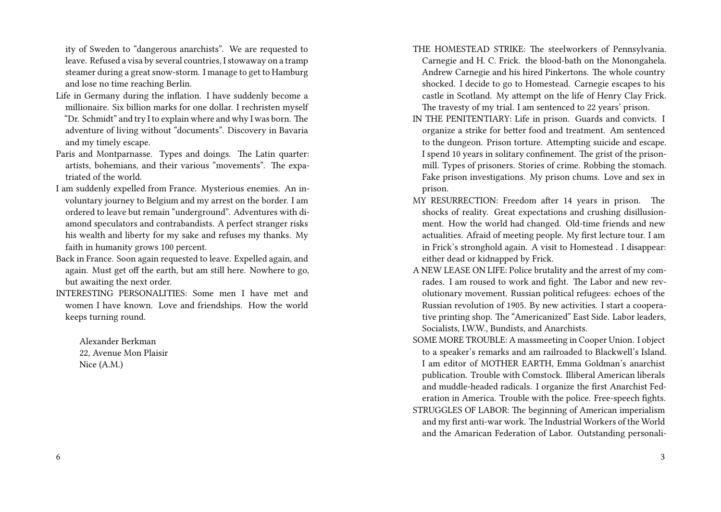ity of Sweden to "dangerous anarchists". We are requested to leave. Refused a visa by several countries, I stowaway on a tramp steamer during a great snow-storm. I manage to get to Hamburg and lose no time reaching Berlin.

- Life in Germany during the inflation. I have suddenly become a millionaire. Six billion marks for one dollar. I rechristen myself "Dr. Schmidt" and try I to explain where and why I was born. The adventure of living without "documents". Discovery in Bavaria and my timely escape.
- Paris and Montparnasse. Types and doings. The Latin quarter: artists, bohemians, and their various "movements". The expatriated of the world.
- I am suddenly expelled from France. Mysterious enemies. An involuntary journey to Belgium and my arrest on the border. I am ordered to leave but remain "underground". Adventures with diamond speculators and contrabandists. A perfect stranger risks his wealth and liberty for my sake and refuses my thanks. My faith in humanity grows 100 percent.
- Back in France. Soon again requested to leave. Expelled again, and again. Must get off the earth, but am still here. Nowhere to go, but awaiting the next order.
- INTERESTING PERSONALITIES: Some men I have met and women I have known. Love and friendships. How the world keeps turning round.

Alexander Berkman 22, Avenue Mon Plaisir Nice (A.M.)

- THE HOMESTEAD STRIKE: The steelworkers of Pennsylvania. Carnegie and H. C. Frick. the blood-bath on the Monongahela. Andrew Carnegie and his hired Pinkertons. The whole country shocked. I decide to go to Homestead. Carnegie escapes to his castle in Scotland. My attempt on the life of Henry Clay Frick. The travesty of my trial. I am sentenced to 22 years' prison.
- IN THE PENITENTIARY: Life in prison. Guards and convicts. I organize a strike for better food and treatment. Am sentenced to the dungeon. Prison torture. Attempting suicide and escape. I spend 10 years in solitary confinement. The grist of the prisonmill. Types of prisoners. Stories of crime. Robbing the stomach. Fake prison investigations. My prison chums. Love and sex in prison.
- MY RESURRECTION: Freedom after 14 years in prison. The shocks of reality. Great expectations and crushing disillusionment. How the world had changed. Old-time friends and new actualities. Afraid of meeting people. My first lecture tour. I am in Frick's stronghold again. A visit to Homestead . I disappear: either dead or kidnapped by Frick.
- A NEW LEASE ON LIFE: Police brutality and the arrest of my comrades. I am roused to work and fight. The Labor and new revolutionary movement. Russian political refugees: echoes of the Russian revolution of 1905. By new activities. I start a cooperative printing shop. The "Americanized" East Side. Labor leaders, Socialists, I.W.W., Bundists, and Anarchists.
- SOME MORE TROUBLE: A massmeeting in Cooper Union. I object to a speaker's remarks and am railroaded to Blackwell's Island. I am editor of MOTHER EARTH, Emma Goldman's anarchist publication. Trouble with Comstock. Illiberal American liberals and muddle-headed radicals. I organize the first Anarchist Federation in America. Trouble with the police. Free-speech fights. STRUGGLES OF LABOR: The beginning of American imperialism and my first anti-war work. The Industrial Workers of the World and the Amarican Federation of Labor. Outstanding personali-